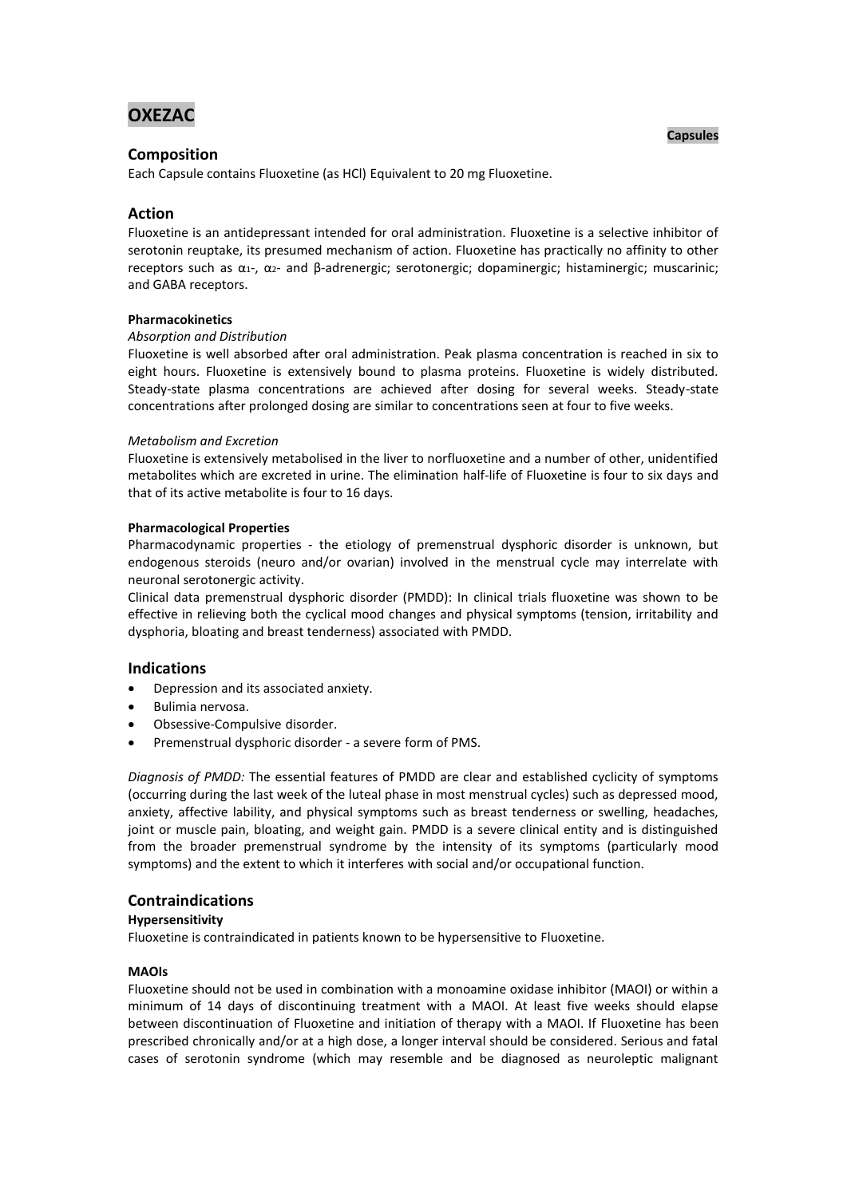# **OXEZAC**

# **Composition**

Each Capsule contains Fluoxetine (as HCl) Equivalent to 20 mg Fluoxetine.

# **Action**

Fluoxetine is an antidepressant intended for oral administration. Fluoxetine is a selective inhibitor of serotonin reuptake, its presumed mechanism of action. Fluoxetine has practically no affinity to other receptors such as α1-, α2- and β-adrenergic; serotonergic; dopaminergic; histaminergic; muscarinic; and GABA receptors.

## **Pharmacokinetics**

## *Absorption and Distribution*

Fluoxetine is well absorbed after oral administration. Peak plasma concentration is reached in six to eight hours. Fluoxetine is extensively bound to plasma proteins. Fluoxetine is widely distributed. Steady-state plasma concentrations are achieved after dosing for several weeks. Steady-state concentrations after prolonged dosing are similar to concentrations seen at four to five weeks.

## *Metabolism and Excretion*

Fluoxetine is extensively metabolised in the liver to norfluoxetine and a number of other, unidentified metabolites which are excreted in urine. The elimination half-life of Fluoxetine is four to six days and that of its active metabolite is four to 16 days.

## **Pharmacological Properties**

Pharmacodynamic properties - the etiology of premenstrual dysphoric disorder is unknown, but endogenous steroids (neuro and/or ovarian) involved in the menstrual cycle may interrelate with neuronal serotonergic activity.

Clinical data premenstrual dysphoric disorder (PMDD): In clinical trials fluoxetine was shown to be effective in relieving both the cyclical mood changes and physical symptoms (tension, irritability and dysphoria, bloating and breast tenderness) associated with PMDD.

## **Indications**

- Depression and its associated anxiety.
- Bulimia nervosa.
- Obsessive-Compulsive disorder.
- Premenstrual dysphoric disorder a severe form of PMS.

*Diagnosis of PMDD:* The essential features of PMDD are clear and established cyclicity of symptoms (occurring during the last week of the luteal phase in most menstrual cycles) such as depressed mood, anxiety, affective lability, and physical symptoms such as breast tenderness or swelling, headaches, joint or muscle pain, bloating, and weight gain. PMDD is a severe clinical entity and is distinguished from the broader premenstrual syndrome by the intensity of its symptoms (particularly mood symptoms) and the extent to which it interferes with social and/or occupational function.

# **Contraindications**

#### **Hypersensitivity**

Fluoxetine is contraindicated in patients known to be hypersensitive to Fluoxetine.

## **MAOIs**

Fluoxetine should not be used in combination with a monoamine oxidase inhibitor (MAOI) or within a minimum of 14 days of discontinuing treatment with a MAOI. At least five weeks should elapse between discontinuation of Fluoxetine and initiation of therapy with a MAOI. If Fluoxetine has been prescribed chronically and/or at a high dose, a longer interval should be considered. Serious and fatal cases of serotonin syndrome (which may resemble and be diagnosed as neuroleptic malignant

## **Capsules**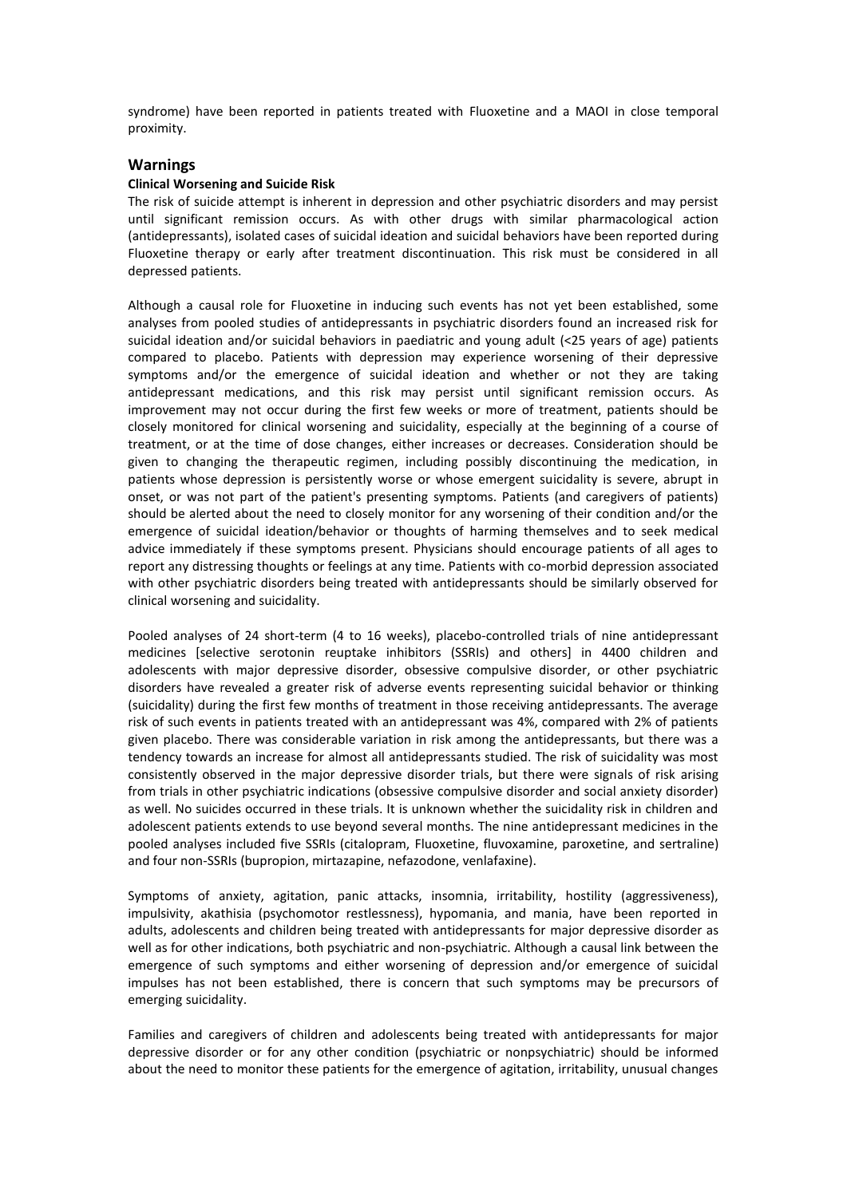syndrome) have been reported in patients treated with Fluoxetine and a MAOI in close temporal proximity.

## **Warnings**

## **Clinical Worsening and Suicide Risk**

The risk of suicide attempt is inherent in depression and other psychiatric disorders and may persist until significant remission occurs. As with other drugs with similar pharmacological action (antidepressants), isolated cases of suicidal ideation and suicidal behaviors have been reported during Fluoxetine therapy or early after treatment discontinuation. This risk must be considered in all depressed patients.

Although a causal role for Fluoxetine in inducing such events has not yet been established, some analyses from pooled studies of antidepressants in psychiatric disorders found an increased risk for suicidal ideation and/or suicidal behaviors in paediatric and young adult (<25 years of age) patients compared to placebo. Patients with depression may experience worsening of their depressive symptoms and/or the emergence of suicidal ideation and whether or not they are taking antidepressant medications, and this risk may persist until significant remission occurs. As improvement may not occur during the first few weeks or more of treatment, patients should be closely monitored for clinical worsening and suicidality, especially at the beginning of a course of treatment, or at the time of dose changes, either increases or decreases. Consideration should be given to changing the therapeutic regimen, including possibly discontinuing the medication, in patients whose depression is persistently worse or whose emergent suicidality is severe, abrupt in onset, or was not part of the patient's presenting symptoms. Patients (and caregivers of patients) should be alerted about the need to closely monitor for any worsening of their condition and/or the emergence of suicidal ideation/behavior or thoughts of harming themselves and to seek medical advice immediately if these symptoms present. Physicians should encourage patients of all ages to report any distressing thoughts or feelings at any time. Patients with co-morbid depression associated with other psychiatric disorders being treated with antidepressants should be similarly observed for clinical worsening and suicidality.

Pooled analyses of 24 short-term (4 to 16 weeks), placebo-controlled trials of nine antidepressant medicines [selective serotonin reuptake inhibitors (SSRIs) and others] in 4400 children and adolescents with major depressive disorder, obsessive compulsive disorder, or other psychiatric disorders have revealed a greater risk of adverse events representing suicidal behavior or thinking (suicidality) during the first few months of treatment in those receiving antidepressants. The average risk of such events in patients treated with an antidepressant was 4%, compared with 2% of patients given placebo. There was considerable variation in risk among the antidepressants, but there was a tendency towards an increase for almost all antidepressants studied. The risk of suicidality was most consistently observed in the major depressive disorder trials, but there were signals of risk arising from trials in other psychiatric indications (obsessive compulsive disorder and social anxiety disorder) as well. No suicides occurred in these trials. It is unknown whether the suicidality risk in children and adolescent patients extends to use beyond several months. The nine antidepressant medicines in the pooled analyses included five SSRIs (citalopram, Fluoxetine, fluvoxamine, paroxetine, and sertraline) and four non-SSRIs (bupropion, mirtazapine, nefazodone, venlafaxine).

Symptoms of anxiety, agitation, panic attacks, insomnia, irritability, hostility (aggressiveness), impulsivity, akathisia (psychomotor restlessness), hypomania, and mania, have been reported in adults, adolescents and children being treated with antidepressants for major depressive disorder as well as for other indications, both psychiatric and non-psychiatric. Although a causal link between the emergence of such symptoms and either worsening of depression and/or emergence of suicidal impulses has not been established, there is concern that such symptoms may be precursors of emerging suicidality.

Families and caregivers of children and adolescents being treated with antidepressants for major depressive disorder or for any other condition (psychiatric or nonpsychiatric) should be informed about the need to monitor these patients for the emergence of agitation, irritability, unusual changes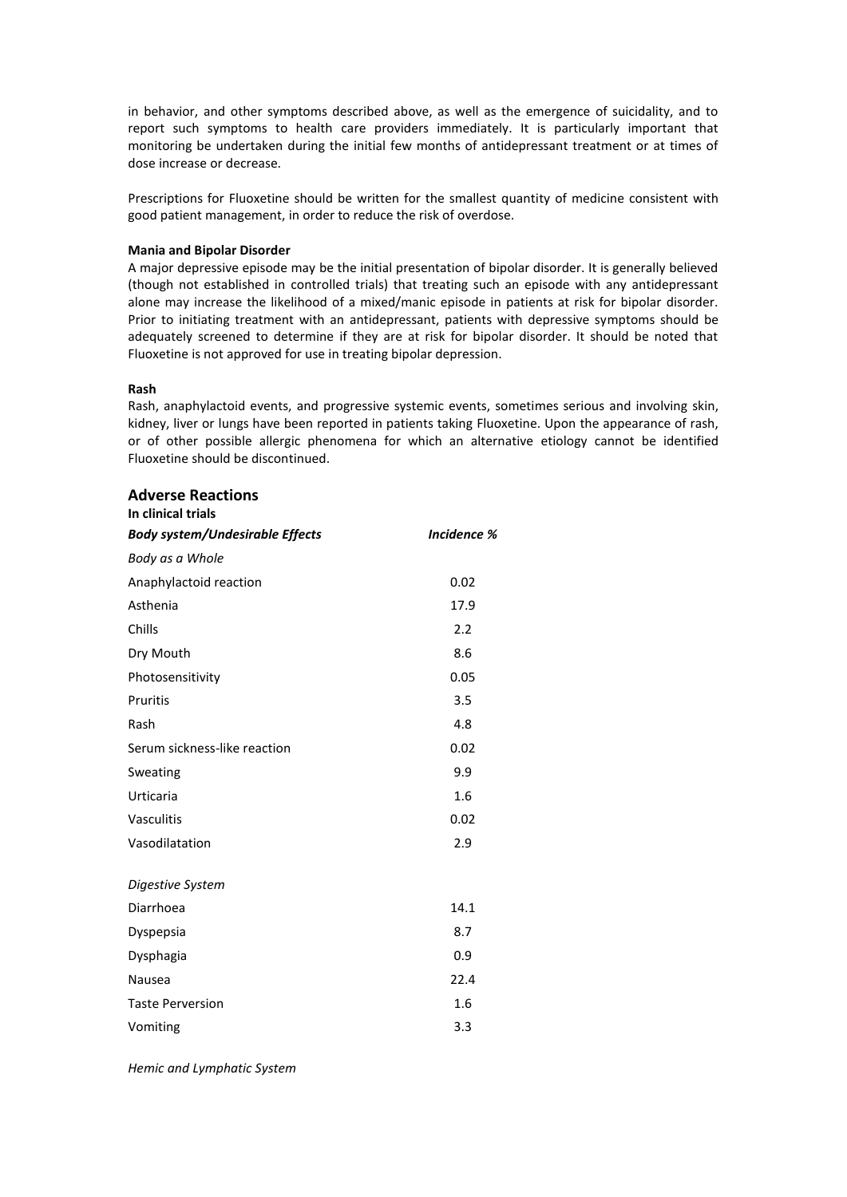in behavior, and other symptoms described above, as well as the emergence of suicidality, and to report such symptoms to health care providers immediately. It is particularly important that monitoring be undertaken during the initial few months of antidepressant treatment or at times of dose increase or decrease.

Prescriptions for Fluoxetine should be written for the smallest quantity of medicine consistent with good patient management, in order to reduce the risk of overdose.

## **Mania and Bipolar Disorder**

A major depressive episode may be the initial presentation of bipolar disorder. It is generally believed (though not established in controlled trials) that treating such an episode with any antidepressant alone may increase the likelihood of a mixed/manic episode in patients at risk for bipolar disorder. Prior to initiating treatment with an antidepressant, patients with depressive symptoms should be adequately screened to determine if they are at risk for bipolar disorder. It should be noted that Fluoxetine is not approved for use in treating bipolar depression.

#### **Rash**

Rash, anaphylactoid events, and progressive systemic events, sometimes serious and involving skin, kidney, liver or lungs have been reported in patients taking Fluoxetine. Upon the appearance of rash, or of other possible allergic phenomena for which an alternative etiology cannot be identified Fluoxetine should be discontinued.

| <b>Adverse Reactions</b><br>In clinical trials |                    |
|------------------------------------------------|--------------------|
| <b>Body system/Undesirable Effects</b>         | <b>Incidence %</b> |
| Body as a Whole                                |                    |
| Anaphylactoid reaction                         | 0.02               |
| Asthenia                                       | 17.9               |
| Chills                                         | 2.2                |
| Dry Mouth                                      | 8.6                |
| Photosensitivity                               | 0.05               |
| Pruritis                                       | 3.5                |
| Rash                                           | 4.8                |
| Serum sickness-like reaction                   | 0.02               |
| Sweating                                       | 9.9                |
| Urticaria                                      | 1.6                |
| Vasculitis                                     | 0.02               |
| Vasodilatation                                 | 2.9                |
| Digestive System                               |                    |
| Diarrhoea                                      | 14.1               |
| Dyspepsia                                      | 8.7                |
| Dysphagia                                      | 0.9                |
| Nausea                                         | 22.4               |
| <b>Taste Perversion</b>                        | 1.6                |
| Vomiting                                       | 3.3                |

*Hemic and Lymphatic System*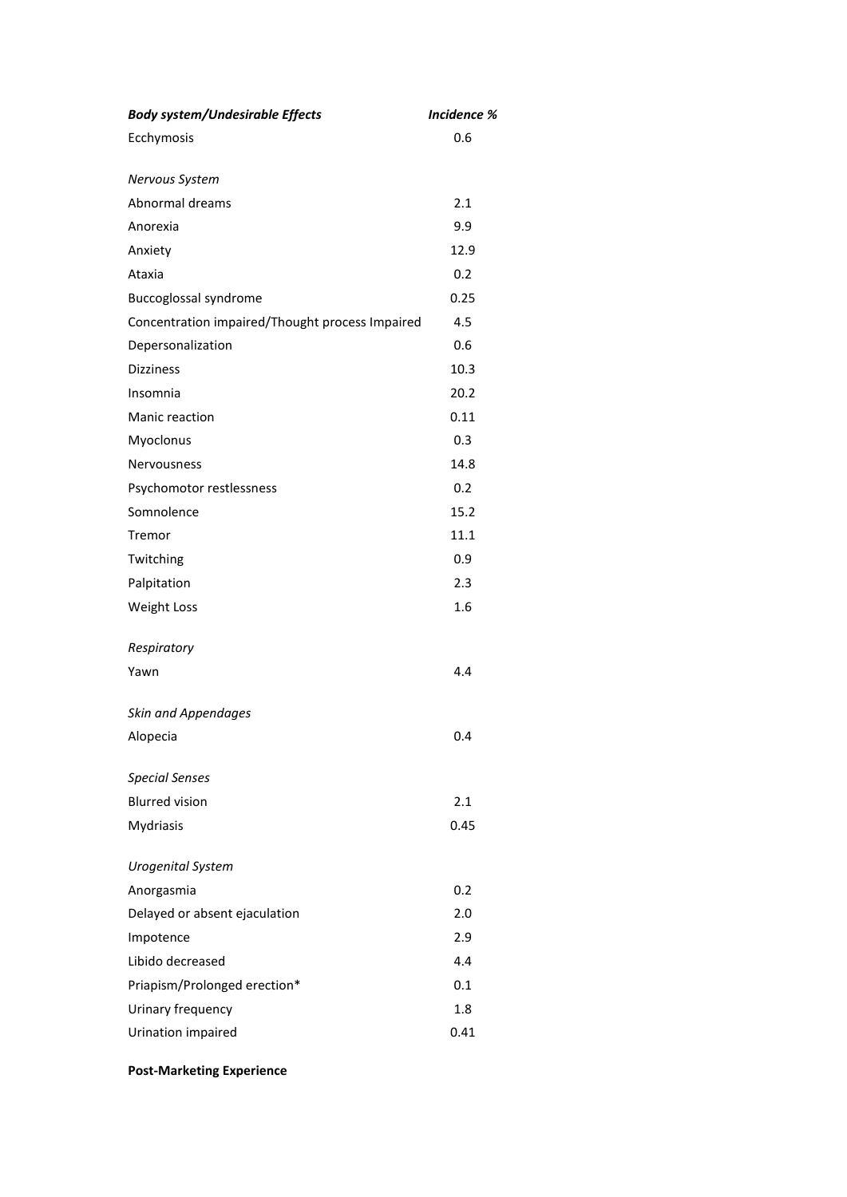| <b>Body system/Undesirable Effects</b>          | <b>Incidence %</b> |
|-------------------------------------------------|--------------------|
| Ecchymosis                                      | 0.6                |
| Nervous System                                  |                    |
| Abnormal dreams                                 | 2.1                |
| Anorexia                                        | 9.9                |
| Anxiety                                         | 12.9               |
| Ataxia                                          | 0.2                |
| <b>Buccoglossal syndrome</b>                    | 0.25               |
| Concentration impaired/Thought process Impaired | 4.5                |
| Depersonalization                               | 0.6                |
| <b>Dizziness</b>                                | 10.3               |
| Insomnia                                        | 20.2               |
| Manic reaction                                  | 0.11               |
| Myoclonus                                       | 0.3                |
| Nervousness                                     | 14.8               |
| Psychomotor restlessness                        | 0.2                |
| Somnolence                                      | 15.2               |
| Tremor                                          | 11.1               |
| Twitching                                       | 0.9                |
| Palpitation                                     | 2.3                |
| <b>Weight Loss</b>                              | 1.6                |
| Respiratory                                     |                    |
| Yawn                                            | 4.4                |
| <b>Skin and Appendages</b>                      |                    |
| Alopecia                                        | 0.4                |
| <b>Special Senses</b>                           |                    |
| <b>Blurred vision</b>                           | 2.1                |
| Mydriasis                                       | 0.45               |
| <b>Urogenital System</b>                        |                    |
| Anorgasmia                                      | 0.2                |
| Delayed or absent ejaculation                   | 2.0                |
| Impotence                                       | 2.9                |
| Libido decreased                                | 4.4                |
| Priapism/Prolonged erection*                    | 0.1                |
| Urinary frequency                               | 1.8                |
| Urination impaired                              | 0.41               |

**Post-Marketing Experience**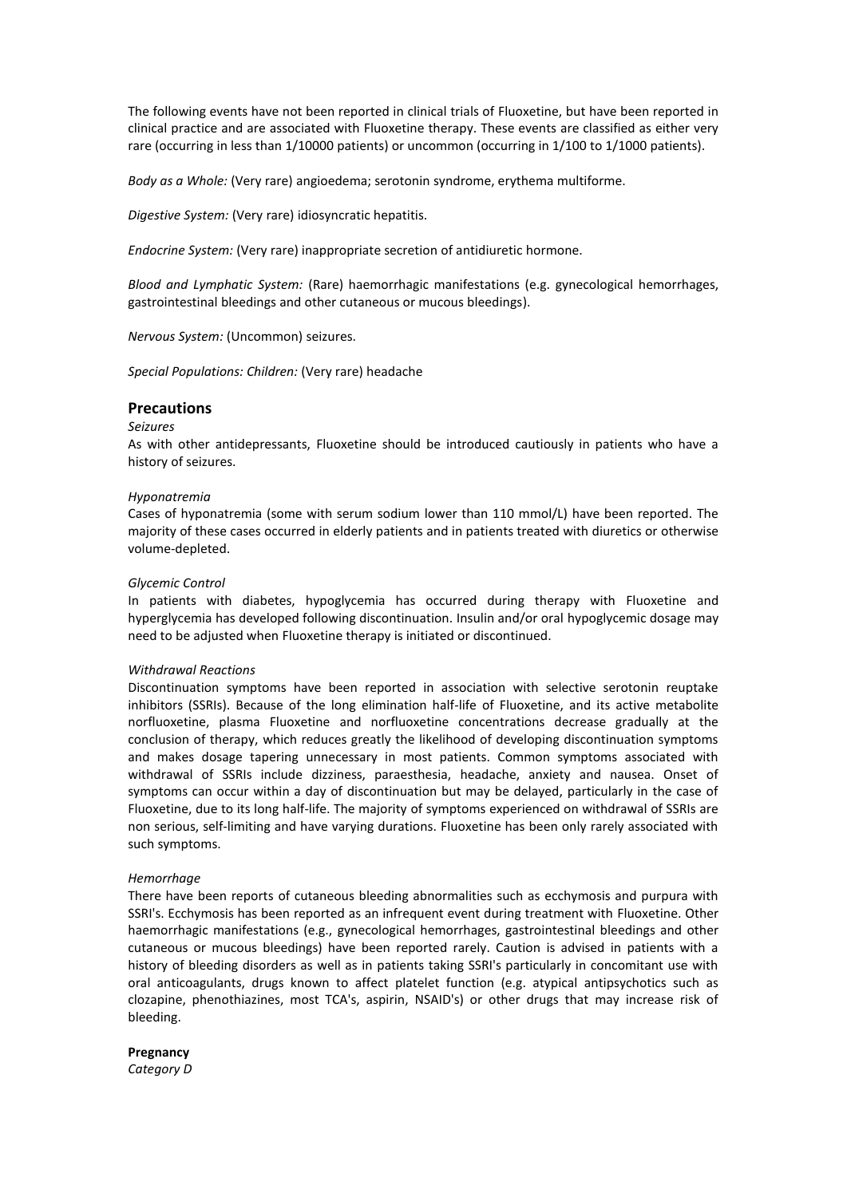The following events have not been reported in clinical trials of Fluoxetine, but have been reported in clinical practice and are associated with Fluoxetine therapy. These events are classified as either very rare (occurring in less than 1/10000 patients) or uncommon (occurring in 1/100 to 1/1000 patients).

*Body as a Whole:* (Very rare) angioedema; serotonin syndrome, erythema multiforme.

*Digestive System:* (Very rare) idiosyncratic hepatitis.

*Endocrine System:* (Very rare) inappropriate secretion of antidiuretic hormone.

*Blood and Lymphatic System:* (Rare) haemorrhagic manifestations (e.g. gynecological hemorrhages, gastrointestinal bleedings and other cutaneous or mucous bleedings).

*Nervous System:* (Uncommon) seizures.

*Special Populations: Children:* (Very rare) headache

## **Precautions**

## *Seizures*

As with other antidepressants, Fluoxetine should be introduced cautiously in patients who have a history of seizures.

#### *Hyponatremia*

Cases of hyponatremia (some with serum sodium lower than 110 mmol/L) have been reported. The majority of these cases occurred in elderly patients and in patients treated with diuretics or otherwise volume-depleted.

#### *Glycemic Control*

In patients with diabetes, hypoglycemia has occurred during therapy with Fluoxetine and hyperglycemia has developed following discontinuation. Insulin and/or oral hypoglycemic dosage may need to be adjusted when Fluoxetine therapy is initiated or discontinued.

#### *Withdrawal Reactions*

Discontinuation symptoms have been reported in association with selective serotonin reuptake inhibitors (SSRIs). Because of the long elimination half-life of Fluoxetine, and its active metabolite norfluoxetine, plasma Fluoxetine and norfluoxetine concentrations decrease gradually at the conclusion of therapy, which reduces greatly the likelihood of developing discontinuation symptoms and makes dosage tapering unnecessary in most patients. Common symptoms associated with withdrawal of SSRIs include dizziness, paraesthesia, headache, anxiety and nausea. Onset of symptoms can occur within a day of discontinuation but may be delayed, particularly in the case of Fluoxetine, due to its long half-life. The majority of symptoms experienced on withdrawal of SSRIs are non serious, self-limiting and have varying durations. Fluoxetine has been only rarely associated with such symptoms.

#### *Hemorrhage*

There have been reports of cutaneous bleeding abnormalities such as ecchymosis and purpura with SSRI's. Ecchymosis has been reported as an infrequent event during treatment with Fluoxetine. Other haemorrhagic manifestations (e.g., gynecological hemorrhages, gastrointestinal bleedings and other cutaneous or mucous bleedings) have been reported rarely. Caution is advised in patients with a history of bleeding disorders as well as in patients taking SSRI's particularly in concomitant use with oral anticoagulants, drugs known to affect platelet function (e.g. atypical antipsychotics such as clozapine, phenothiazines, most TCA's, aspirin, NSAID's) or other drugs that may increase risk of bleeding.

#### **Pregnancy**

*Category D*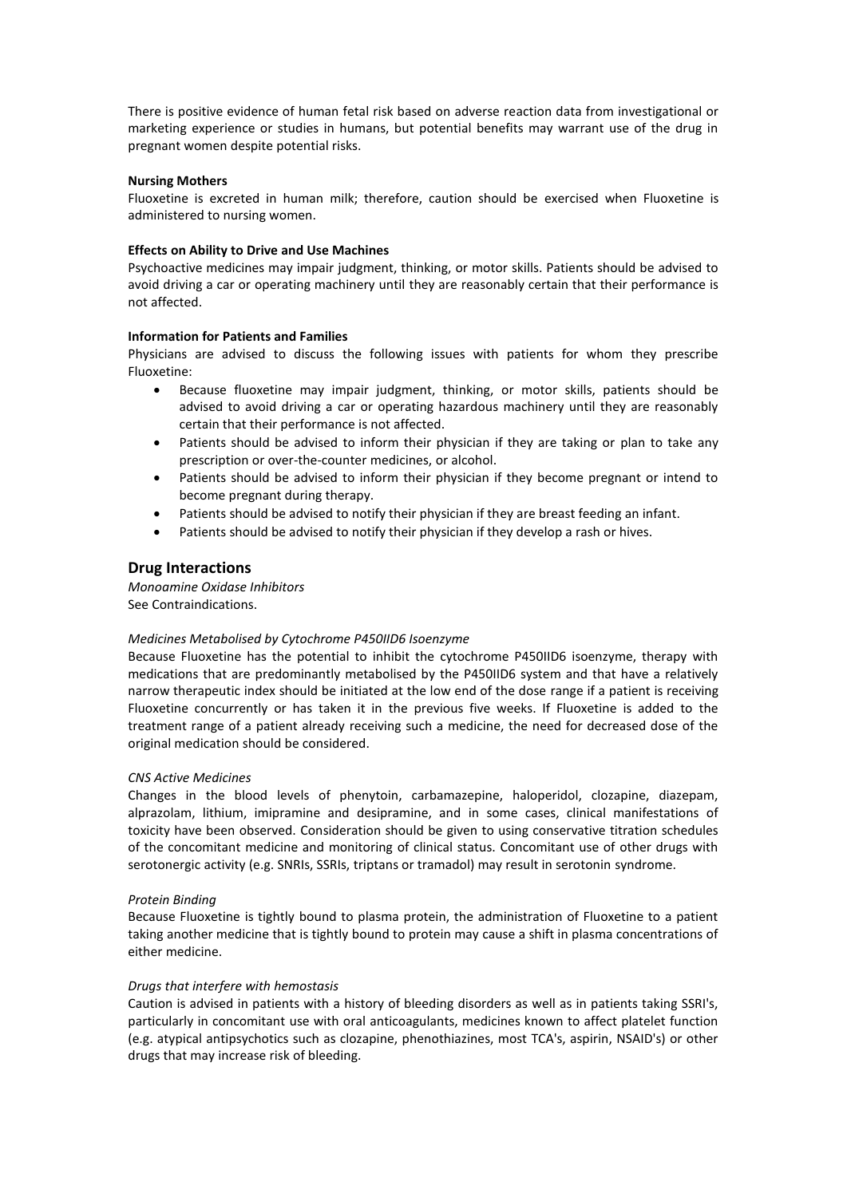There is positive evidence of human fetal risk based on adverse reaction data from investigational or marketing experience or studies in humans, but potential benefits may warrant use of the drug in pregnant women despite potential risks.

## **Nursing Mothers**

Fluoxetine is excreted in human milk; therefore, caution should be exercised when Fluoxetine is administered to nursing women.

## **Effects on Ability to Drive and Use Machines**

Psychoactive medicines may impair judgment, thinking, or motor skills. Patients should be advised to avoid driving a car or operating machinery until they are reasonably certain that their performance is not affected.

## **Information for Patients and Families**

Physicians are advised to discuss the following issues with patients for whom they prescribe Fluoxetine:

- Because fluoxetine may impair judgment, thinking, or motor skills, patients should be advised to avoid driving a car or operating hazardous machinery until they are reasonably certain that their performance is not affected.
- Patients should be advised to inform their physician if they are taking or plan to take any prescription or over-the-counter medicines, or alcohol.
- Patients should be advised to inform their physician if they become pregnant or intend to become pregnant during therapy.
- Patients should be advised to notify their physician if they are breast feeding an infant.
- Patients should be advised to notify their physician if they develop a rash or hives.

# **Drug Interactions**

*Monoamine Oxidase Inhibitors* See Contraindications.

#### *Medicines Metabolised by Cytochrome P450IID6 Isoenzyme*

Because Fluoxetine has the potential to inhibit the cytochrome P450IID6 isoenzyme, therapy with medications that are predominantly metabolised by the P450IID6 system and that have a relatively narrow therapeutic index should be initiated at the low end of the dose range if a patient is receiving Fluoxetine concurrently or has taken it in the previous five weeks. If Fluoxetine is added to the treatment range of a patient already receiving such a medicine, the need for decreased dose of the original medication should be considered.

#### *CNS Active Medicines*

Changes in the blood levels of phenytoin, carbamazepine, haloperidol, clozapine, diazepam, alprazolam, lithium, imipramine and desipramine, and in some cases, clinical manifestations of toxicity have been observed. Consideration should be given to using conservative titration schedules of the concomitant medicine and monitoring of clinical status. Concomitant use of other drugs with serotonergic activity (e.g. SNRIs, SSRIs, triptans or tramadol) may result in serotonin syndrome.

## *Protein Binding*

Because Fluoxetine is tightly bound to plasma protein, the administration of Fluoxetine to a patient taking another medicine that is tightly bound to protein may cause a shift in plasma concentrations of either medicine.

#### *Drugs that interfere with hemostasis*

Caution is advised in patients with a history of bleeding disorders as well as in patients taking SSRI's, particularly in concomitant use with oral anticoagulants, medicines known to affect platelet function (e.g. atypical antipsychotics such as clozapine, phenothiazines, most TCA's, aspirin, NSAID's) or other drugs that may increase risk of bleeding.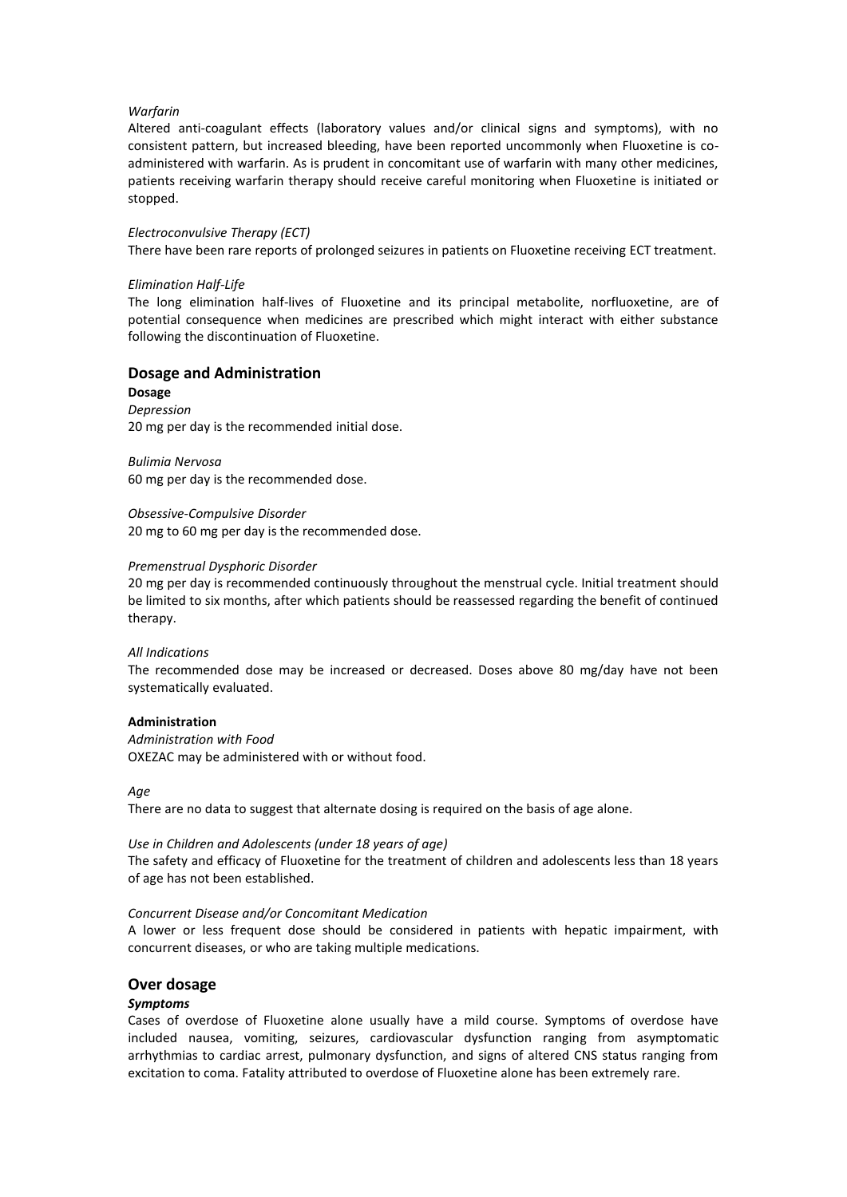## *Warfarin*

Altered anti-coagulant effects (laboratory values and/or clinical signs and symptoms), with no consistent pattern, but increased bleeding, have been reported uncommonly when Fluoxetine is coadministered with warfarin. As is prudent in concomitant use of warfarin with many other medicines, patients receiving warfarin therapy should receive careful monitoring when Fluoxetine is initiated or stopped.

## *Electroconvulsive Therapy (ECT)*

There have been rare reports of prolonged seizures in patients on Fluoxetine receiving ECT treatment.

## *Elimination Half-Life*

The long elimination half-lives of Fluoxetine and its principal metabolite, norfluoxetine, are of potential consequence when medicines are prescribed which might interact with either substance following the discontinuation of Fluoxetine.

# **Dosage and Administration**

**Dosage** *Depression* 20 mg per day is the recommended initial dose.

*Bulimia Nervosa* 60 mg per day is the recommended dose.

*Obsessive-Compulsive Disorder* 20 mg to 60 mg per day is the recommended dose.

## *Premenstrual Dysphoric Disorder*

20 mg per day is recommended continuously throughout the menstrual cycle. Initial treatment should be limited to six months, after which patients should be reassessed regarding the benefit of continued therapy.

#### *All Indications*

The recommended dose may be increased or decreased. Doses above 80 mg/day have not been systematically evaluated.

#### **Administration**

*Administration with Food* OXEZAC may be administered with or without food.

*Age*

There are no data to suggest that alternate dosing is required on the basis of age alone.

#### *Use in Children and Adolescents (under 18 years of age)*

The safety and efficacy of Fluoxetine for the treatment of children and adolescents less than 18 years of age has not been established.

#### *Concurrent Disease and/or Concomitant Medication*

A lower or less frequent dose should be considered in patients with hepatic impairment, with concurrent diseases, or who are taking multiple medications.

## **Over dosage**

## *Symptoms*

Cases of overdose of Fluoxetine alone usually have a mild course. Symptoms of overdose have included nausea, vomiting, seizures, cardiovascular dysfunction ranging from asymptomatic arrhythmias to cardiac arrest, pulmonary dysfunction, and signs of altered CNS status ranging from excitation to coma. Fatality attributed to overdose of Fluoxetine alone has been extremely rare.